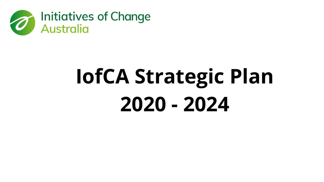

# **IofCA Strategic Plan 2020 - 2024**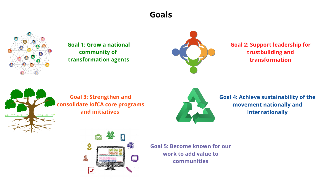# **Goals**



**JULIAN CONTRACTORY** 

**Goal 1: Grow a national community of transformation agents**



**Goal 2: Support leadership for trustbuilding and transformation**

## **Goal 3: Strengthen and consolidate IofCA core programs and initiatives**





**Goal 4: Achieve sustainability of the movement nationally and internationally**

**Goal 5: Become known for our work to add value to communities**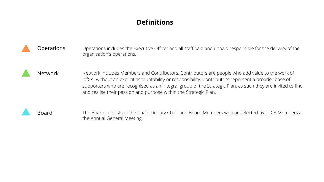| <b>Operations</b> | Operations includes the Executive Officer and all staff paid and u<br>organisation's operations.                                                                                                                                                                        |
|-------------------|-------------------------------------------------------------------------------------------------------------------------------------------------------------------------------------------------------------------------------------------------------------------------|
| <b>Network</b>    | Network includes Members and Contributors. Contributors are<br>lofCA without an explicit accountability or responsibility. Contri<br>supporters who are recognised as an integral group of the Stra<br>and realise their passion and purpose within the Strategic Plan. |
| Board             | The Board consists of the Chair, Deputy Chair and Board Memb<br>the Annual General Meeting.                                                                                                                                                                             |

and unpaid responsible for the delivery of the

ors are people who add value to the work of Contributors represent a broader base of ne Strategic Plan, as such they are invited to find

Members who are elected by IofCA Members at

# **Definitions**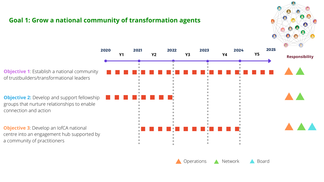# **Goal 1: Grow a national community of transformation agents**



**Objective 1**: Establish a national community of trustbuilders/transformational leaders

**Objective 2:** Develop and support fellowship groups that nurture relationships to enable connection and action

**Objective 3**: Develop an IofCA national centre into an engagement hub supported by a community of practitioners



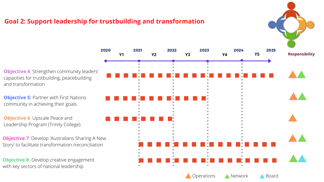



**Objective 7**: Develop 'Australians Sharing A New Story' to facilitate transformation /reconciliation

## **Goal 2: Support leadership for trustbuilding and transformation**

**Objective 6: Upscale Peace and** Leadership Program (Trinity College)

**Objective 4**: Strengthen community leaders' capacities for trustbuilding, peacebuilding and transformation

**Objective 8:** Develop creative engagement with key sectors of national leadership

**Objective 5:** Partner with First Nations community in achieving their goals



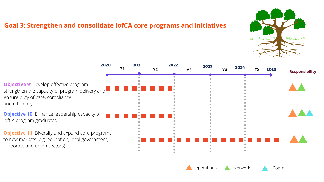# **Goal 3: Strengthen and consolidate IofCA core programs and initiatives**

**Objective 9**: Develop effective program strengthen the capacity of program delivery and ensure duty of care, compliance and efficiency **Objective 10:** Enhance leadership capacity of IofCA program graduates **Objective 11**: Diversify and expand core programs to new markets (e.g. education, local government, corporate and union sectors) <sup>2020</sup> <sup>2021</sup> <sup>2022</sup> <sup>2023</sup> <sup>2024</sup> **Y1 Y2 Y3 Y4 Y5** <sup>2025</sup>



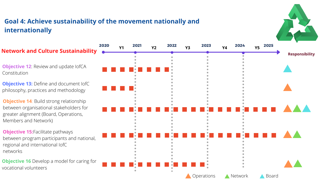**Objective 15: Facilitate pathways** between program participants and national, regional and international IofC networks

**Objective 16** Develop a model for caring for vocational volunteers

# **Goal 4: Achieve sustainability of the movement nationally and internationally**

**Objective 12**: Review and update IofCA Constitution





**Objective 13:** Define and document IofC philosophy, practices and methodology

**Objective 14**: Build strong relationship between organisational stakeholders for greater alignment (Board, Operations, Members and Network)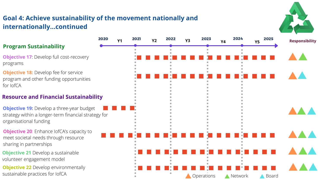**Objective 19:** Develop a three-year budget strategy within a longer-term financial strategy for organisational funding

**Objective 17: Develop full cost-recovery** programs

**Objective 21** Develop a sustainable volunteer engagement model

**Objective 18:** Develop fee for service program and other funding opportunities for IofCA

# **Goal 4: Achieve sustainability of the movement nationally and internationally...continued**





**Objective 22** Develop environmentally sustainable practices for IofCA

**Objective 20**: Enhance IofCA's capacity to meet societal needs through resource sharing in partnerships

#### **Program Sustainability**

#### **Resource and Financial Sustainability**